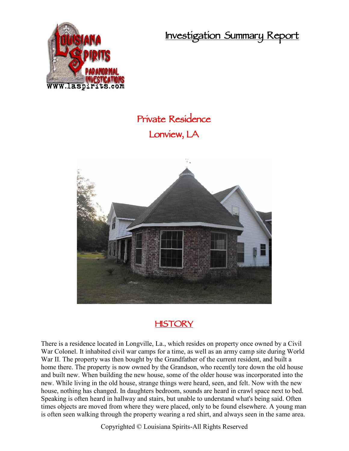**Investigation Summary Report**



## **Private Residence Lonview, LA**



## **HISTORY**

There is a residence located in Longville, La., which resides on property once owned by a Civil War Colonel. It inhabited civil war camps for a time, as well as an army camp site during World War II. The property was then bought by the Grandfather of the current resident, and built a home there. The property is now owned by the Grandson, who recently tore down the old house and built new. When building the new house, some of the older house was incorporated into the new. While living in the old house, strange things were heard, seen, and felt. Now with the new house, nothing has changed. In daughters bedroom, sounds are heard in crawl space next to bed. Speaking is often heard in hallway and stairs, but unable to understand what's being said. Often times objects are moved from where they were placed, only to be found elsewhere. A young man is often seen walking through the property wearing a red shirt, and always seen in the same area.

Copyrighted © Louisiana Spirits-All Rights Reserved